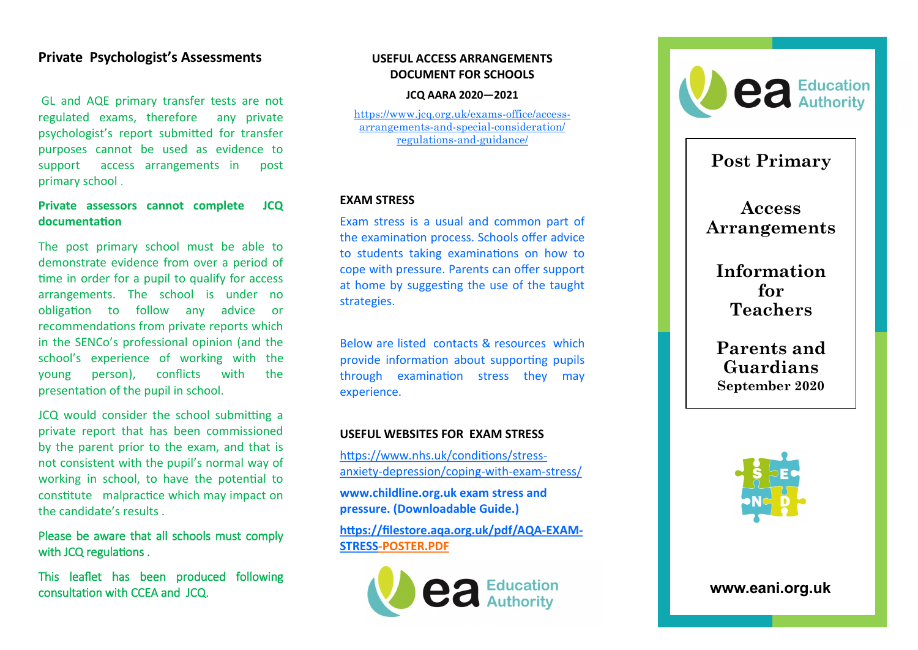## **Private Psychologist 's Assessments**

GL and AQE primary transfer tests are not regulated exams, therefore any private psychologist 's report submitted for transfer purposes cannot be used as evidence to support access arrangements in post primary school .

### **Private assessors cannot complete JCQ documentation**

The post primary school must be able to demonstrate evidence from over a period of time in order for a pupil to qualify for access arrangements. The school is under no obligation to follow any advice or recommendations from private reports which in the SENCo 's professional opinion (and the school 's experience of working with the young person), conflicts with the presentation of the pupil in school.

JCQ would consider the school submitting a private report that has been commissioned by the parent prior to the exam, and that is not consistent with the pupil 's normal way of working in school, to have the potential to constitute malpractice which may impact on the candidate 's results .

Please be aware that all schools must comply with JCQ regulations .

This leaflet has been produced following consultation with CCEA and JCQ.

#### **USEFUL ACCESS ARRANGEMENTS DOCUMENT FOR SCHOOLS**

#### **[JCQ AARA 2](http://www.eani.org.uk)020 —2021**

[https://www.jcq.org.uk/exams](https://www.jcq.org.uk/exams-office/access-arrangements-and-special-consideration/regulations-and-guidance/)-office/accessarrangements -and -special [-consideration/](https://www.jcq.org.uk/exams-office/access-arrangements-and-special-consideration/regulations-and-guidance/) [regulations](https://www.jcq.org.uk/exams-office/access-arrangements-and-special-consideration/regulations-and-guidance/) -and -guidance/

#### **EXAM STRESS**

Exam stress is a usual and common part of the examination process. Schools offer advice to students taking examinations on how to cope with pressure. Parents can offer support at home by suggesting the use of the taught strategies.

Below are listed contacts & resources which provide information about supporting pupils through examination stress they may experience.

#### **USEFUL WEBSITES FOR EXAM STRESS**

[https://www.nhs.uk/conditions/stress](https://www.nhs.uk/conditions/stress-anxiety-depression/coping-with-exam-stress/) anxiety -[depression/coping](https://www.nhs.uk/conditions/stress-anxiety-depression/coping-with-exam-stress/) -with -exam -stress/

**www.childline.org.uk exam stress and pressure. (Downloadable Guide.)** 

**[https://filestore.aqa.org.uk/pdf/AQA](https://filestore.aqa.org.uk/pdf/AQA-EXAM-STRESS) -EXAM - [STRESS](https://filestore.aqa.org.uk/pdf/AQA-EXAM-STRESS) -POSTER.PDF**





# **Post Primary**

**Access Arrangements** 

**Information for Teachers**

**Parents and Guardians September 2020**



**www.eani.org.uk**